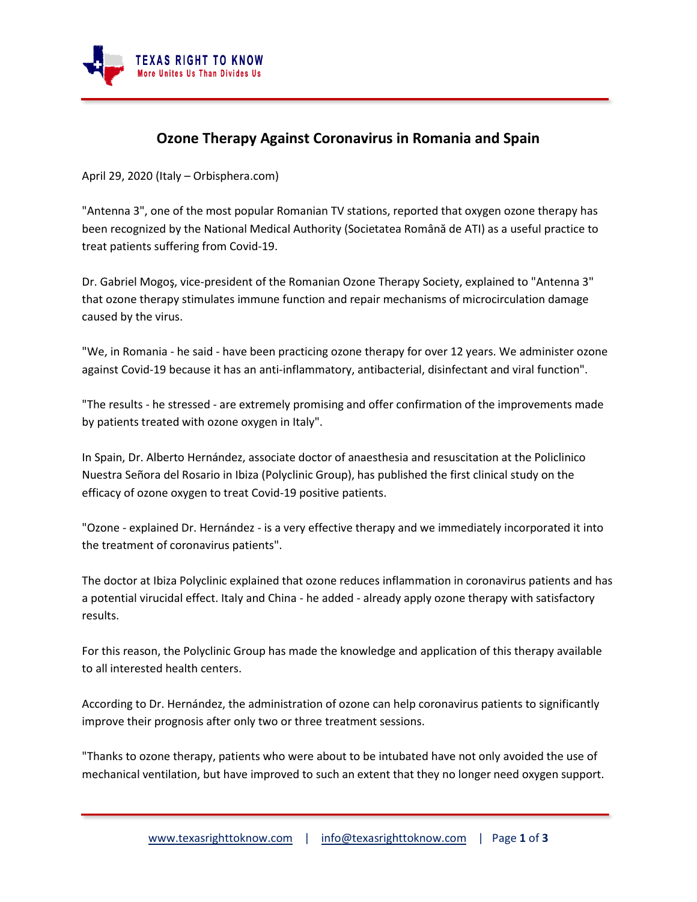

## **Ozone Therapy Against Coronavirus in Romania and Spain**

April 29, 2020 (Italy – Orbisphera.com)

"Antenna 3", one of the most popular Romanian TV stations, reported that oxygen ozone therapy has been recognized by the National Medical Authority (Societatea Română de ATI) as a useful practice to treat patients suffering from Covid-19.

Dr. Gabriel Mogoş, vice-president of the Romanian Ozone Therapy Society, explained to "Antenna 3" that ozone therapy stimulates immune function and repair mechanisms of microcirculation damage caused by the virus.

"We, in Romania - he said - have been practicing ozone therapy for over 12 years. We administer ozone against Covid-19 because it has an anti-inflammatory, antibacterial, disinfectant and viral function".

"The results - he stressed - are extremely promising and offer confirmation of the improvements made by patients treated with ozone oxygen in Italy".

In Spain, Dr. Alberto Hernández, associate doctor of anaesthesia and resuscitation at the Policlinico Nuestra Señora del Rosario in Ibiza (Polyclinic Group), has published the first clinical study on the efficacy of ozone oxygen to treat Covid-19 positive patients.

"Ozone - explained Dr. Hernández - is a very effective therapy and we immediately incorporated it into the treatment of coronavirus patients".

The doctor at Ibiza Polyclinic explained that ozone reduces inflammation in coronavirus patients and has a potential virucidal effect. Italy and China - he added - already apply ozone therapy with satisfactory results.

For this reason, the Polyclinic Group has made the knowledge and application of this therapy available to all interested health centers.

According to Dr. Hernández, the administration of ozone can help coronavirus patients to significantly improve their prognosis after only two or three treatment sessions.

"Thanks to ozone therapy, patients who were about to be intubated have not only avoided the use of mechanical ventilation, but have improved to such an extent that they no longer need oxygen support.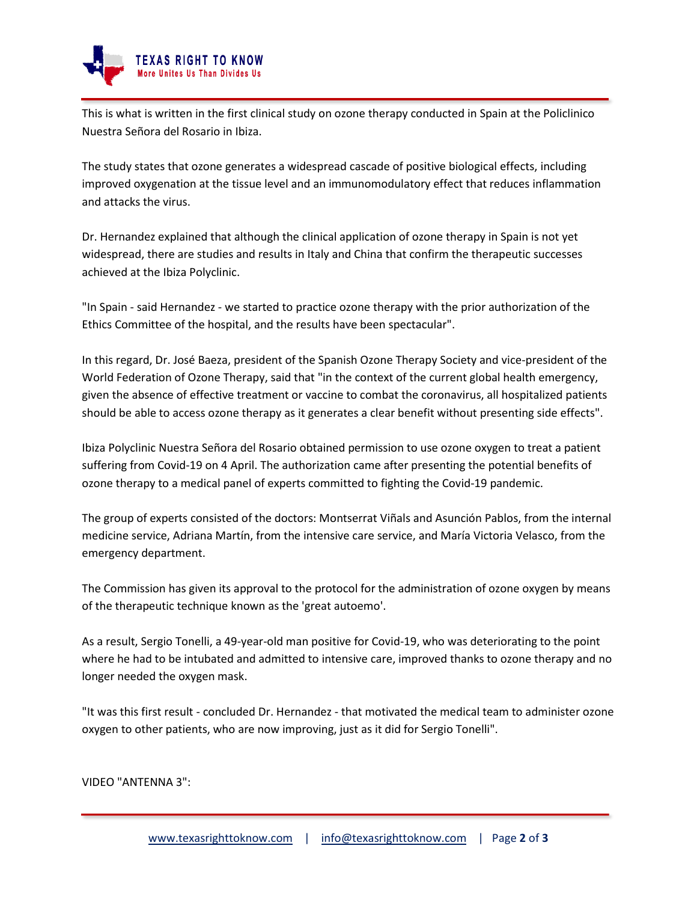

This is what is written in the first clinical study on ozone therapy conducted in Spain at the Policlinico Nuestra Señora del Rosario in Ibiza.

The study states that ozone generates a widespread cascade of positive biological effects, including improved oxygenation at the tissue level and an immunomodulatory effect that reduces inflammation and attacks the virus.

Dr. Hernandez explained that although the clinical application of ozone therapy in Spain is not yet widespread, there are studies and results in Italy and China that confirm the therapeutic successes achieved at the Ibiza Polyclinic.

"In Spain - said Hernandez - we started to practice ozone therapy with the prior authorization of the Ethics Committee of the hospital, and the results have been spectacular".

In this regard, Dr. José Baeza, president of the Spanish Ozone Therapy Society and vice-president of the World Federation of Ozone Therapy, said that "in the context of the current global health emergency, given the absence of effective treatment or vaccine to combat the coronavirus, all hospitalized patients should be able to access ozone therapy as it generates a clear benefit without presenting side effects".

Ibiza Polyclinic Nuestra Señora del Rosario obtained permission to use ozone oxygen to treat a patient suffering from Covid-19 on 4 April. The authorization came after presenting the potential benefits of ozone therapy to a medical panel of experts committed to fighting the Covid-19 pandemic.

The group of experts consisted of the doctors: Montserrat Viñals and Asunción Pablos, from the internal medicine service, Adriana Martín, from the intensive care service, and María Victoria Velasco, from the emergency department.

The Commission has given its approval to the protocol for the administration of ozone oxygen by means of the therapeutic technique known as the 'great autoemo'.

As a result, Sergio Tonelli, a 49-year-old man positive for Covid-19, who was deteriorating to the point where he had to be intubated and admitted to intensive care, improved thanks to ozone therapy and no longer needed the oxygen mask.

"It was this first result - concluded Dr. Hernandez - that motivated the medical team to administer ozone oxygen to other patients, who are now improving, just as it did for Sergio Tonelli".

VIDEO "ANTENNA 3":